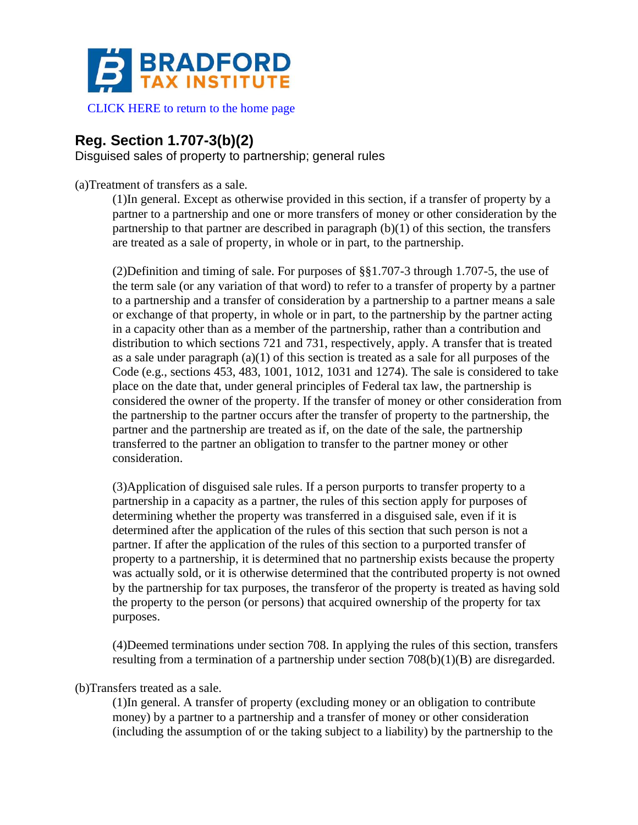

[CLICK HERE to return to the home page](https://www.bradfordtaxinstitute.com)

## **Reg. Section 1.707-3(b)(2)**

Disguised sales of property to partnership; general rules

(a)Treatment of transfers as a sale.

(1)In general. Except as otherwise provided in this section, if a transfer of property by a partner to a partnership and one or more transfers of money or other consideration by the partnership to that partner are described in paragraph (b)(1) of this section, the transfers are treated as a sale of property, in whole or in part, to the partnership.

(2)Definition and timing of sale. For purposes of §§1.707-3 through 1.707-5, the use of the term sale (or any variation of that word) to refer to a transfer of property by a partner to a partnership and a transfer of consideration by a partnership to a partner means a sale or exchange of that property, in whole or in part, to the partnership by the partner acting in a capacity other than as a member of the partnership, rather than a contribution and distribution to which sections 721 and 731, respectively, apply. A transfer that is treated as a sale under paragraph (a)(1) of this section is treated as a sale for all purposes of the Code (e.g., sections 453, 483, 1001, 1012, 1031 and 1274). The sale is considered to take place on the date that, under general principles of Federal tax law, the partnership is considered the owner of the property. If the transfer of money or other consideration from the partnership to the partner occurs after the transfer of property to the partnership, the partner and the partnership are treated as if, on the date of the sale, the partnership transferred to the partner an obligation to transfer to the partner money or other consideration.

(3)Application of disguised sale rules. If a person purports to transfer property to a partnership in a capacity as a partner, the rules of this section apply for purposes of determining whether the property was transferred in a disguised sale, even if it is determined after the application of the rules of this section that such person is not a partner. If after the application of the rules of this section to a purported transfer of property to a partnership, it is determined that no partnership exists because the property was actually sold, or it is otherwise determined that the contributed property is not owned by the partnership for tax purposes, the transferor of the property is treated as having sold the property to the person (or persons) that acquired ownership of the property for tax purposes.

(4)Deemed terminations under section 708. In applying the rules of this section, transfers resulting from a termination of a partnership under section 708(b)(1)(B) are disregarded.

(b)Transfers treated as a sale.

(1)In general. A transfer of property (excluding money or an obligation to contribute money) by a partner to a partnership and a transfer of money or other consideration (including the assumption of or the taking subject to a liability) by the partnership to the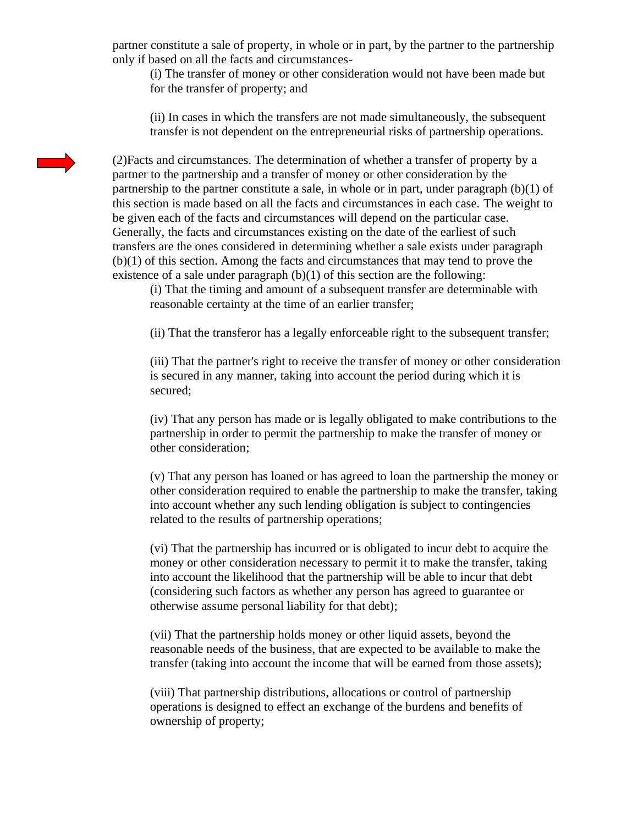partner constitute a sale of property, in whole or in part, by the partner to the partnership only if based on all the facts and circumstances-

(i) The transfer of money or other consideration would not have been made but for the transfer of property; and

(ii) In cases in which the transfers are not made simultaneously, the subsequent transfer is not dependent on the entrepreneurial risks of partnership operations.

(2)Facts and circumstances. The determination of whether a transfer of property by a partner to the partnership and a transfer of money or other consideration by the partnership to the partner constitute a sale, in whole or in part, under paragraph (b)(1) of this section is made based on all the facts and circumstances in each case. The weight to be given each of the facts and circumstances will depend on the particular case. Generally, the facts and circumstances existing on the date of the earliest of such transfers are the ones considered in determining whether a sale exists under paragraph (b)(1) of this section. Among the facts and circumstances that may tend to prove the existence of a sale under paragraph  $(b)(1)$  of this section are the following:

(i) That the timing and amount of a subsequent transfer are determinable with reasonable certainty at the time of an earlier transfer;

(ii) That the transferor has a legally enforceable right to the subsequent transfer;

(iii) That the partner's right to receive the transfer of money or other consideration is secured in any manner, taking into account the period during which it is secured;

(iv) That any person has made or is legally obligated to make contributions to the partnership in order to permit the partnership to make the transfer of money or other consideration;

(v) That any person has loaned or has agreed to loan the partnership the money or other consideration required to enable the partnership to make the transfer, taking into account whether any such lending obligation is subject to contingencies related to the results of partnership operations;

(vi) That the partnership has incurred or is obligated to incur debt to acquire the money or other consideration necessary to permit it to make the transfer, taking into account the likelihood that the partnership will be able to incur that debt (considering such factors as whether any person has agreed to guarantee or otherwise assume personal liability for that debt);

(vii) That the partnership holds money or other liquid assets, beyond the reasonable needs of the business, that are expected to be available to make the transfer (taking into account the income that will be earned from those assets);

(viii) That partnership distributions, allocations or control of partnership operations is designed to effect an exchange of the burdens and benefits of ownership of property;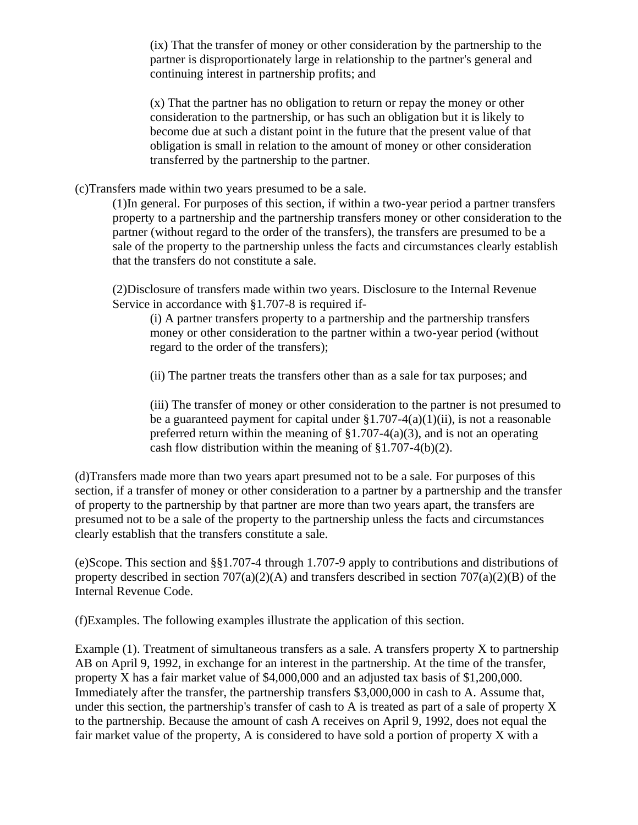(ix) That the transfer of money or other consideration by the partnership to the partner is disproportionately large in relationship to the partner's general and continuing interest in partnership profits; and

(x) That the partner has no obligation to return or repay the money or other consideration to the partnership, or has such an obligation but it is likely to become due at such a distant point in the future that the present value of that obligation is small in relation to the amount of money or other consideration transferred by the partnership to the partner.

(c)Transfers made within two years presumed to be a sale.

(1)In general. For purposes of this section, if within a two-year period a partner transfers property to a partnership and the partnership transfers money or other consideration to the partner (without regard to the order of the transfers), the transfers are presumed to be a sale of the property to the partnership unless the facts and circumstances clearly establish that the transfers do not constitute a sale.

(2)Disclosure of transfers made within two years. Disclosure to the Internal Revenue Service in accordance with §1.707-8 is required if-

(i) A partner transfers property to a partnership and the partnership transfers money or other consideration to the partner within a two-year period (without regard to the order of the transfers);

(ii) The partner treats the transfers other than as a sale for tax purposes; and

(iii) The transfer of money or other consideration to the partner is not presumed to be a guaranteed payment for capital under  $\S1.707-4(a)(1)(ii)$ , is not a reasonable preferred return within the meaning of  $\S1.707-4(a)(3)$ , and is not an operating cash flow distribution within the meaning of §1.707-4(b)(2).

(d)Transfers made more than two years apart presumed not to be a sale. For purposes of this section, if a transfer of money or other consideration to a partner by a partnership and the transfer of property to the partnership by that partner are more than two years apart, the transfers are presumed not to be a sale of the property to the partnership unless the facts and circumstances clearly establish that the transfers constitute a sale.

(e)Scope. This section and §§1.707-4 through 1.707-9 apply to contributions and distributions of property described in section 707(a)(2)(A) and transfers described in section 707(a)(2)(B) of the Internal Revenue Code.

(f)Examples. The following examples illustrate the application of this section.

Example (1). Treatment of simultaneous transfers as a sale. A transfers property X to partnership AB on April 9, 1992, in exchange for an interest in the partnership. At the time of the transfer, property X has a fair market value of \$4,000,000 and an adjusted tax basis of \$1,200,000. Immediately after the transfer, the partnership transfers \$3,000,000 in cash to A. Assume that, under this section, the partnership's transfer of cash to A is treated as part of a sale of property X to the partnership. Because the amount of cash A receives on April 9, 1992, does not equal the fair market value of the property, A is considered to have sold a portion of property X with a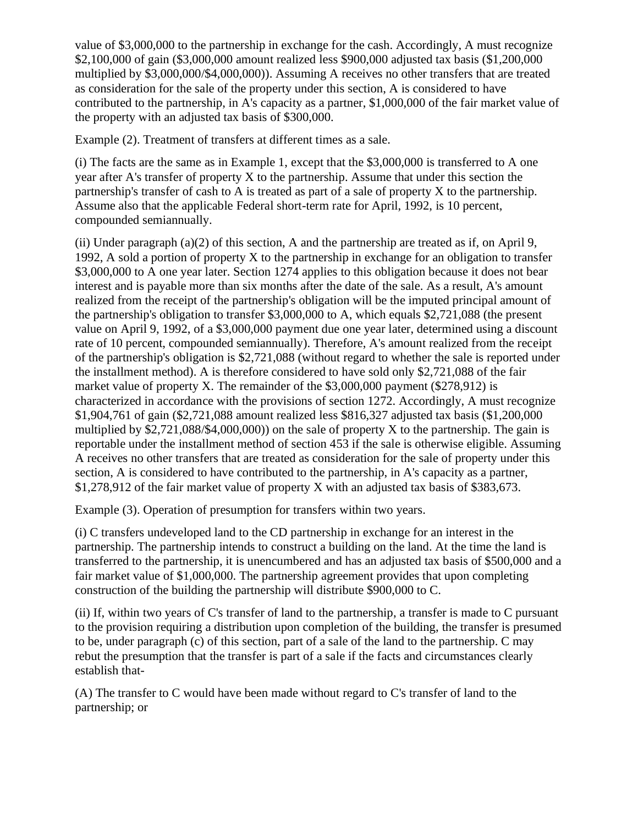value of \$3,000,000 to the partnership in exchange for the cash. Accordingly, A must recognize \$2,100,000 of gain (\$3,000,000 amount realized less \$900,000 adjusted tax basis (\$1,200,000 multiplied by \$3,000,000/\$4,000,000)). Assuming A receives no other transfers that are treated as consideration for the sale of the property under this section, A is considered to have contributed to the partnership, in A's capacity as a partner, \$1,000,000 of the fair market value of the property with an adjusted tax basis of \$300,000.

Example (2). Treatment of transfers at different times as a sale.

(i) The facts are the same as in Example 1, except that the \$3,000,000 is transferred to A one year after A's transfer of property X to the partnership. Assume that under this section the partnership's transfer of cash to A is treated as part of a sale of property X to the partnership. Assume also that the applicable Federal short-term rate for April, 1992, is 10 percent, compounded semiannually.

(ii) Under paragraph (a)(2) of this section, A and the partnership are treated as if, on April 9, 1992, A sold a portion of property X to the partnership in exchange for an obligation to transfer \$3,000,000 to A one year later. Section 1274 applies to this obligation because it does not bear interest and is payable more than six months after the date of the sale. As a result, A's amount realized from the receipt of the partnership's obligation will be the imputed principal amount of the partnership's obligation to transfer \$3,000,000 to A, which equals \$2,721,088 (the present value on April 9, 1992, of a \$3,000,000 payment due one year later, determined using a discount rate of 10 percent, compounded semiannually). Therefore, A's amount realized from the receipt of the partnership's obligation is \$2,721,088 (without regard to whether the sale is reported under the installment method). A is therefore considered to have sold only \$2,721,088 of the fair market value of property X. The remainder of the \$3,000,000 payment (\$278,912) is characterized in accordance with the provisions of section 1272. Accordingly, A must recognize \$1,904,761 of gain (\$2,721,088 amount realized less \$816,327 adjusted tax basis (\$1,200,000 multiplied by  $$2,721,088/$4,000,000)$  on the sale of property X to the partnership. The gain is reportable under the installment method of section 453 if the sale is otherwise eligible. Assuming A receives no other transfers that are treated as consideration for the sale of property under this section, A is considered to have contributed to the partnership, in A's capacity as a partner, \$1,278,912 of the fair market value of property X with an adjusted tax basis of \$383,673.

Example (3). Operation of presumption for transfers within two years.

(i) C transfers undeveloped land to the CD partnership in exchange for an interest in the partnership. The partnership intends to construct a building on the land. At the time the land is transferred to the partnership, it is unencumbered and has an adjusted tax basis of \$500,000 and a fair market value of \$1,000,000. The partnership agreement provides that upon completing construction of the building the partnership will distribute \$900,000 to C.

(ii) If, within two years of C's transfer of land to the partnership, a transfer is made to C pursuant to the provision requiring a distribution upon completion of the building, the transfer is presumed to be, under paragraph (c) of this section, part of a sale of the land to the partnership. C may rebut the presumption that the transfer is part of a sale if the facts and circumstances clearly establish that-

(A) The transfer to C would have been made without regard to C's transfer of land to the partnership; or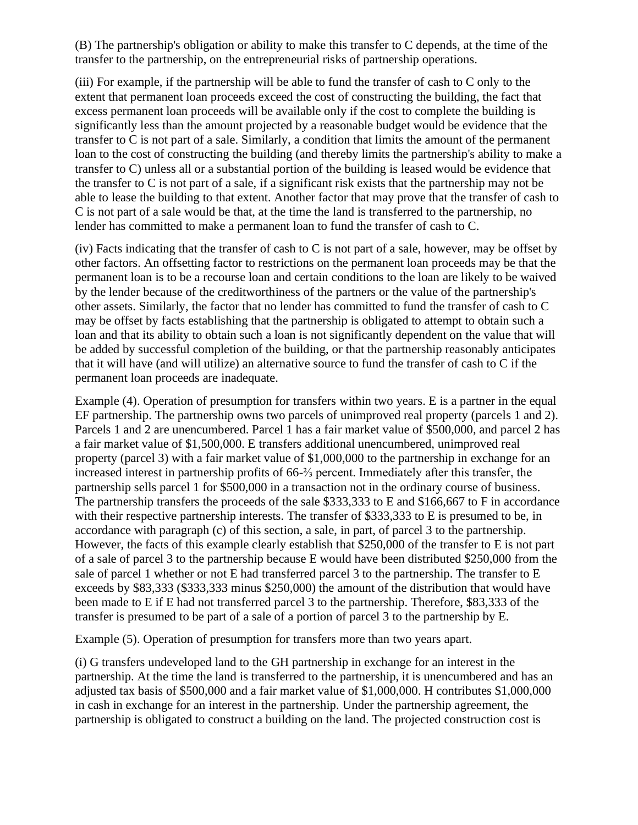(B) The partnership's obligation or ability to make this transfer to C depends, at the time of the transfer to the partnership, on the entrepreneurial risks of partnership operations.

(iii) For example, if the partnership will be able to fund the transfer of cash to C only to the extent that permanent loan proceeds exceed the cost of constructing the building, the fact that excess permanent loan proceeds will be available only if the cost to complete the building is significantly less than the amount projected by a reasonable budget would be evidence that the transfer to C is not part of a sale. Similarly, a condition that limits the amount of the permanent loan to the cost of constructing the building (and thereby limits the partnership's ability to make a transfer to C) unless all or a substantial portion of the building is leased would be evidence that the transfer to C is not part of a sale, if a significant risk exists that the partnership may not be able to lease the building to that extent. Another factor that may prove that the transfer of cash to C is not part of a sale would be that, at the time the land is transferred to the partnership, no lender has committed to make a permanent loan to fund the transfer of cash to C.

(iv) Facts indicating that the transfer of cash to C is not part of a sale, however, may be offset by other factors. An offsetting factor to restrictions on the permanent loan proceeds may be that the permanent loan is to be a recourse loan and certain conditions to the loan are likely to be waived by the lender because of the creditworthiness of the partners or the value of the partnership's other assets. Similarly, the factor that no lender has committed to fund the transfer of cash to C may be offset by facts establishing that the partnership is obligated to attempt to obtain such a loan and that its ability to obtain such a loan is not significantly dependent on the value that will be added by successful completion of the building, or that the partnership reasonably anticipates that it will have (and will utilize) an alternative source to fund the transfer of cash to C if the permanent loan proceeds are inadequate.

Example (4). Operation of presumption for transfers within two years. E is a partner in the equal EF partnership. The partnership owns two parcels of unimproved real property (parcels 1 and 2). Parcels 1 and 2 are unencumbered. Parcel 1 has a fair market value of \$500,000, and parcel 2 has a fair market value of \$1,500,000. E transfers additional unencumbered, unimproved real property (parcel 3) with a fair market value of \$1,000,000 to the partnership in exchange for an increased interest in partnership profits of 66-⅔ percent. Immediately after this transfer, the partnership sells parcel 1 for \$500,000 in a transaction not in the ordinary course of business. The partnership transfers the proceeds of the sale \$333,333 to E and \$166,667 to F in accordance with their respective partnership interests. The transfer of \$333,333 to E is presumed to be, in accordance with paragraph (c) of this section, a sale, in part, of parcel 3 to the partnership. However, the facts of this example clearly establish that \$250,000 of the transfer to E is not part of a sale of parcel 3 to the partnership because E would have been distributed \$250,000 from the sale of parcel 1 whether or not E had transferred parcel 3 to the partnership. The transfer to E exceeds by \$83,333 (\$333,333 minus \$250,000) the amount of the distribution that would have been made to E if E had not transferred parcel 3 to the partnership. Therefore, \$83,333 of the transfer is presumed to be part of a sale of a portion of parcel 3 to the partnership by E.

Example (5). Operation of presumption for transfers more than two years apart.

(i) G transfers undeveloped land to the GH partnership in exchange for an interest in the partnership. At the time the land is transferred to the partnership, it is unencumbered and has an adjusted tax basis of \$500,000 and a fair market value of \$1,000,000. H contributes \$1,000,000 in cash in exchange for an interest in the partnership. Under the partnership agreement, the partnership is obligated to construct a building on the land. The projected construction cost is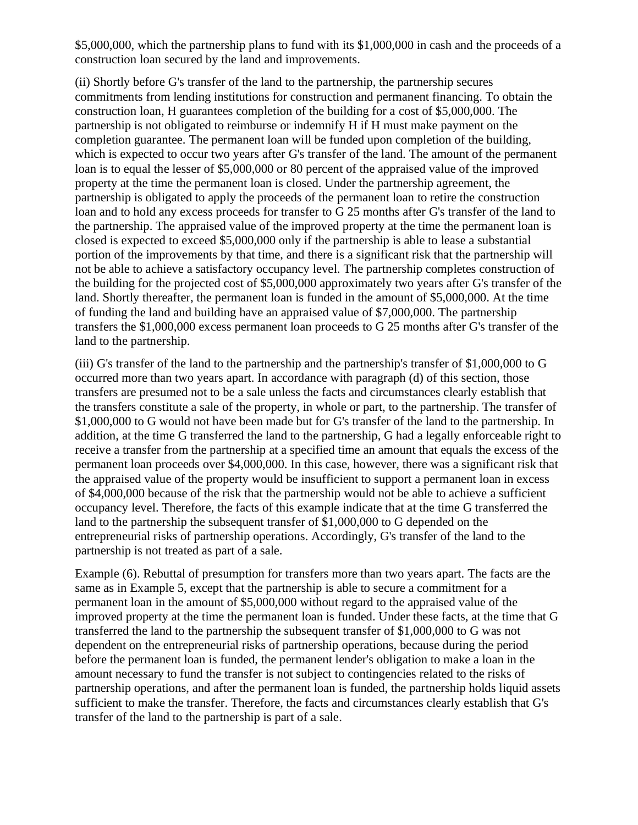\$5,000,000, which the partnership plans to fund with its \$1,000,000 in cash and the proceeds of a construction loan secured by the land and improvements.

(ii) Shortly before G's transfer of the land to the partnership, the partnership secures commitments from lending institutions for construction and permanent financing. To obtain the construction loan, H guarantees completion of the building for a cost of \$5,000,000. The partnership is not obligated to reimburse or indemnify H if H must make payment on the completion guarantee. The permanent loan will be funded upon completion of the building, which is expected to occur two years after G's transfer of the land. The amount of the permanent loan is to equal the lesser of \$5,000,000 or 80 percent of the appraised value of the improved property at the time the permanent loan is closed. Under the partnership agreement, the partnership is obligated to apply the proceeds of the permanent loan to retire the construction loan and to hold any excess proceeds for transfer to G 25 months after G's transfer of the land to the partnership. The appraised value of the improved property at the time the permanent loan is closed is expected to exceed \$5,000,000 only if the partnership is able to lease a substantial portion of the improvements by that time, and there is a significant risk that the partnership will not be able to achieve a satisfactory occupancy level. The partnership completes construction of the building for the projected cost of \$5,000,000 approximately two years after G's transfer of the land. Shortly thereafter, the permanent loan is funded in the amount of \$5,000,000. At the time of funding the land and building have an appraised value of \$7,000,000. The partnership transfers the \$1,000,000 excess permanent loan proceeds to G 25 months after G's transfer of the land to the partnership.

(iii) G's transfer of the land to the partnership and the partnership's transfer of \$1,000,000 to G occurred more than two years apart. In accordance with paragraph (d) of this section, those transfers are presumed not to be a sale unless the facts and circumstances clearly establish that the transfers constitute a sale of the property, in whole or part, to the partnership. The transfer of \$1,000,000 to G would not have been made but for G's transfer of the land to the partnership. In addition, at the time G transferred the land to the partnership, G had a legally enforceable right to receive a transfer from the partnership at a specified time an amount that equals the excess of the permanent loan proceeds over \$4,000,000. In this case, however, there was a significant risk that the appraised value of the property would be insufficient to support a permanent loan in excess of \$4,000,000 because of the risk that the partnership would not be able to achieve a sufficient occupancy level. Therefore, the facts of this example indicate that at the time G transferred the land to the partnership the subsequent transfer of \$1,000,000 to G depended on the entrepreneurial risks of partnership operations. Accordingly, G's transfer of the land to the partnership is not treated as part of a sale.

Example (6). Rebuttal of presumption for transfers more than two years apart. The facts are the same as in Example 5, except that the partnership is able to secure a commitment for a permanent loan in the amount of \$5,000,000 without regard to the appraised value of the improved property at the time the permanent loan is funded. Under these facts, at the time that G transferred the land to the partnership the subsequent transfer of \$1,000,000 to G was not dependent on the entrepreneurial risks of partnership operations, because during the period before the permanent loan is funded, the permanent lender's obligation to make a loan in the amount necessary to fund the transfer is not subject to contingencies related to the risks of partnership operations, and after the permanent loan is funded, the partnership holds liquid assets sufficient to make the transfer. Therefore, the facts and circumstances clearly establish that G's transfer of the land to the partnership is part of a sale.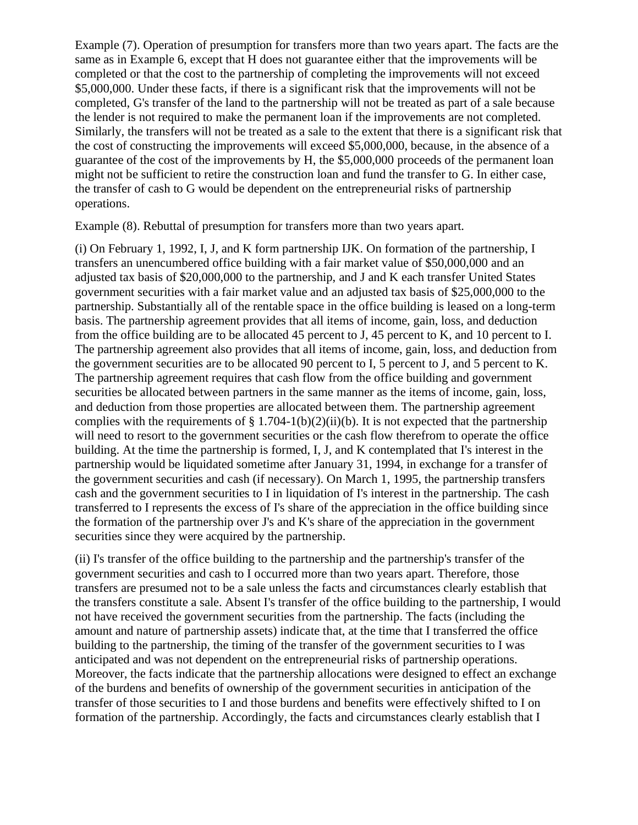Example (7). Operation of presumption for transfers more than two years apart. The facts are the same as in Example 6, except that H does not guarantee either that the improvements will be completed or that the cost to the partnership of completing the improvements will not exceed \$5,000,000. Under these facts, if there is a significant risk that the improvements will not be completed, G's transfer of the land to the partnership will not be treated as part of a sale because the lender is not required to make the permanent loan if the improvements are not completed. Similarly, the transfers will not be treated as a sale to the extent that there is a significant risk that the cost of constructing the improvements will exceed \$5,000,000, because, in the absence of a guarantee of the cost of the improvements by H, the \$5,000,000 proceeds of the permanent loan might not be sufficient to retire the construction loan and fund the transfer to G. In either case, the transfer of cash to G would be dependent on the entrepreneurial risks of partnership operations.

Example (8). Rebuttal of presumption for transfers more than two years apart.

(i) On February 1, 1992, I, J, and K form partnership IJK. On formation of the partnership, I transfers an unencumbered office building with a fair market value of \$50,000,000 and an adjusted tax basis of \$20,000,000 to the partnership, and J and K each transfer United States government securities with a fair market value and an adjusted tax basis of \$25,000,000 to the partnership. Substantially all of the rentable space in the office building is leased on a long-term basis. The partnership agreement provides that all items of income, gain, loss, and deduction from the office building are to be allocated 45 percent to J, 45 percent to K, and 10 percent to I. The partnership agreement also provides that all items of income, gain, loss, and deduction from the government securities are to be allocated 90 percent to I, 5 percent to J, and 5 percent to K. The partnership agreement requires that cash flow from the office building and government securities be allocated between partners in the same manner as the items of income, gain, loss, and deduction from those properties are allocated between them. The partnership agreement complies with the requirements of § 1.704-1(b)(2)(ii)(b). It is not expected that the partnership will need to resort to the government securities or the cash flow therefrom to operate the office building. At the time the partnership is formed, I, J, and K contemplated that I's interest in the partnership would be liquidated sometime after January 31, 1994, in exchange for a transfer of the government securities and cash (if necessary). On March 1, 1995, the partnership transfers cash and the government securities to I in liquidation of I's interest in the partnership. The cash transferred to I represents the excess of I's share of the appreciation in the office building since the formation of the partnership over J's and K's share of the appreciation in the government securities since they were acquired by the partnership.

(ii) I's transfer of the office building to the partnership and the partnership's transfer of the government securities and cash to I occurred more than two years apart. Therefore, those transfers are presumed not to be a sale unless the facts and circumstances clearly establish that the transfers constitute a sale. Absent I's transfer of the office building to the partnership, I would not have received the government securities from the partnership. The facts (including the amount and nature of partnership assets) indicate that, at the time that I transferred the office building to the partnership, the timing of the transfer of the government securities to I was anticipated and was not dependent on the entrepreneurial risks of partnership operations. Moreover, the facts indicate that the partnership allocations were designed to effect an exchange of the burdens and benefits of ownership of the government securities in anticipation of the transfer of those securities to I and those burdens and benefits were effectively shifted to I on formation of the partnership. Accordingly, the facts and circumstances clearly establish that I